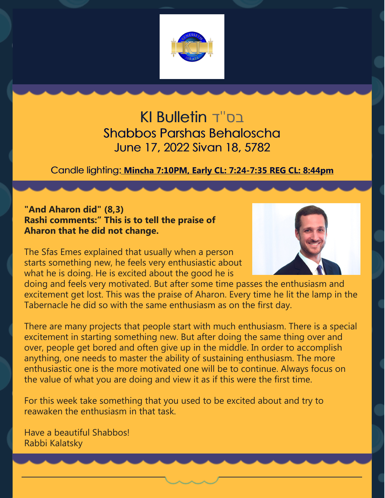

בס''ד Bulletin KI Shabbos Parshas Behaloscha June 17, 2022 Sivan 18, 5782

Candle lighting: **Mincha 7:10PM, Early CL: 7:24-7:35 REG CL: 8:44pm**

## **"And Aharon did" (8,3) Rashi comments:" This is to tell the praise of Aharon that he did not change.**

The Sfas Emes explained that usually when a person starts something new, he feels very enthusiastic about what he is doing. He is excited about the good he is



doing and feels very motivated. But after some time passes the enthusiasm and excitement get lost. This was the praise of Aharon. Every time he lit the lamp in the Tabernacle he did so with the same enthusiasm as on the first day.

There are many projects that people start with much enthusiasm. There is a special excitement in starting something new. But after doing the same thing over and over, people get bored and often give up in the middle. In order to accomplish anything, one needs to master the ability of sustaining enthusiasm. The more enthusiastic one is the more motivated one will be to continue. Always focus on the value of what you are doing and view it as if this were the first time.

For this week take something that you used to be excited about and try to reawaken the enthusiasm in that task.

Have a beautiful Shabbos! Rabbi Kalatsky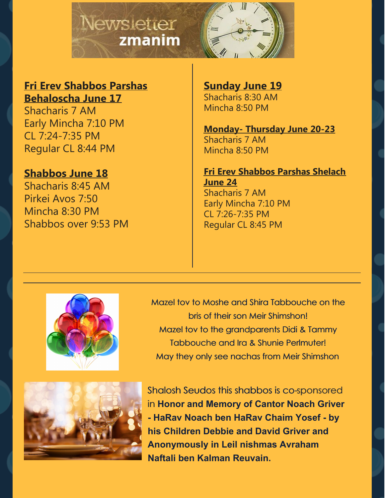

## **Fri Erev Shabbos Parshas Behaloscha June 17**

Shacharis 7 AM Early Mincha 7:10 PM CL 7:24-7:35 PM Regular CL 8:44 PM

## **Shabbos June 18**

Shacharis 8:45 AM Pirkei Avos 7:50 Mincha 8:30 PM Shabbos over 9:53 PM **Sunday June 19** Shacharis 8:30 AM Mincha 8:50 PM

**Monday- Thursday June 20-23** Shacharis 7 AM Mincha 8:50 PM

**Fri Erev Shabbos Parshas Shelach June 24** Shacharis 7 AM Early Mincha 7:10 PM CL 7:26-7:35 PM Regular CL 8:45 PM



Mazel tov to Moshe and Shira Tabbouche on the bris of their son Meir Shimshon! Mazel tov to the grandparents Didi & Tammy Tabbouche and Ira & Shunie Perlmuter! May they only see nachas from Meir Shimshon



Shalosh Seudos this shabbos is co-sponsored in **Honor and Memory of Cantor Noach Griver - HaRav Noach ben HaRav Chaim Yosef - by his Children Debbie and David Griver and Anonymously in Leil nishmas Avraham Naftali ben Kalman Reuvain.**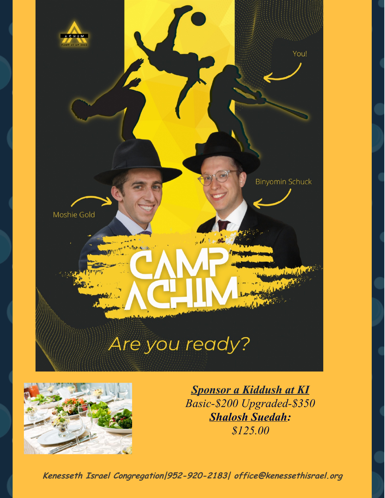



*Sponsor a Kiddush at KI Basic-\$200 Upgraded-\$350 Shalosh Suedah: \$125.00*

**Kenesseth Israel Congregation|952-920-2183| office@kenessethisrael.org**